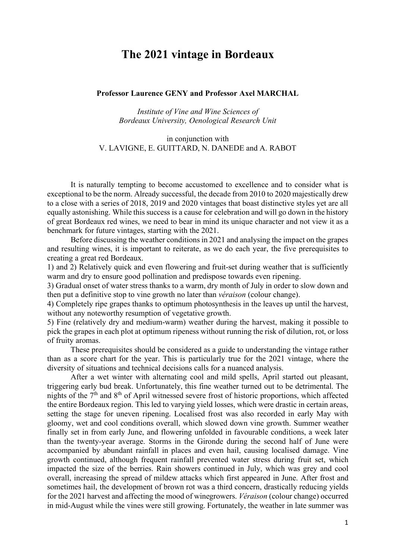# **The 2021 vintage in Bordeaux**

#### **Professor Laurence GENY and Professor Axel MARCHAL**

*Institute of Vine and Wine Sciences of Bordeaux University, Oenological Research Unit*

## in conjunction with V. LAVIGNE, E. GUITTARD, N. DANEDE and A. RABOT

It is naturally tempting to become accustomed to excellence and to consider what is exceptional to be the norm. Already successful, the decade from 2010 to 2020 majestically drew to a close with a series of 2018, 2019 and 2020 vintages that boast distinctive styles yet are all equally astonishing. While this success is a cause for celebration and will go down in the history of great Bordeaux red wines, we need to bear in mind its unique character and not view it as a benchmark for future vintages, starting with the 2021.

Before discussing the weather conditions in 2021 and analysing the impact on the grapes and resulting wines, it is important to reiterate, as we do each year, the five prerequisites to creating a great red Bordeaux.

1) and 2) Relatively quick and even flowering and fruit-set during weather that is sufficiently warm and dry to ensure good pollination and predispose towards even ripening.

3) Gradual onset of water stress thanks to a warm, dry month of July in order to slow down and then put a definitive stop to vine growth no later than *véraison* (colour change).

4) Completely ripe grapes thanks to optimum photosynthesis in the leaves up until the harvest, without any noteworthy resumption of vegetative growth.

5) Fine (relatively dry and medium-warm) weather during the harvest, making it possible to pick the grapes in each plot at optimum ripeness without running the risk of dilution, rot, or loss of fruity aromas.

These prerequisites should be considered as a guide to understanding the vintage rather than as a score chart for the year. This is particularly true for the 2021 vintage, where the diversity of situations and technical decisions calls for a nuanced analysis.

After a wet winter with alternating cool and mild spells, April started out pleasant, triggering early bud break. Unfortunately, this fine weather turned out to be detrimental. The nights of the 7<sup>th</sup> and 8<sup>th</sup> of April witnessed severe frost of historic proportions, which affected the entire Bordeaux region. This led to varying yield losses, which were drastic in certain areas, setting the stage for uneven ripening. Localised frost was also recorded in early May with gloomy, wet and cool conditions overall, which slowed down vine growth. Summer weather finally set in from early June, and flowering unfolded in favourable conditions, a week later than the twenty-year average. Storms in the Gironde during the second half of June were accompanied by abundant rainfall in places and even hail, causing localised damage. Vine growth continued, although frequent rainfall prevented water stress during fruit set, which impacted the size of the berries. Rain showers continued in July, which was grey and cool overall, increasing the spread of mildew attacks which first appeared in June. After frost and sometimes hail, the development of brown rot was a third concern, drastically reducing yields for the 2021 harvest and affecting the mood of winegrowers. *Véraison* (colour change) occurred in mid-August while the vines were still growing. Fortunately, the weather in late summer was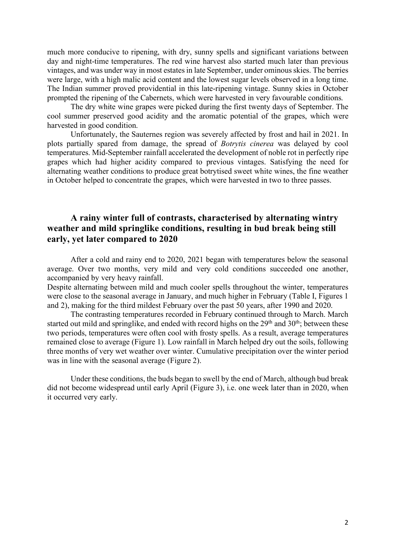much more conducive to ripening, with dry, sunny spells and significant variations between day and night-time temperatures. The red wine harvest also started much later than previous vintages, and was under way in most estates in late September, under ominous skies. The berries were large, with a high malic acid content and the lowest sugar levels observed in a long time. The Indian summer proved providential in this late-ripening vintage. Sunny skies in October prompted the ripening of the Cabernets, which were harvested in very favourable conditions.

The dry white wine grapes were picked during the first twenty days of September. The cool summer preserved good acidity and the aromatic potential of the grapes, which were harvested in good condition.

Unfortunately, the Sauternes region was severely affected by frost and hail in 2021. In plots partially spared from damage, the spread of *Botrytis cinerea* was delayed by cool temperatures. Mid-September rainfall accelerated the development of noble rot in perfectly ripe grapes which had higher acidity compared to previous vintages. Satisfying the need for alternating weather conditions to produce great botrytised sweet white wines, the fine weather in October helped to concentrate the grapes, which were harvested in two to three passes.

## **A rainy winter full of contrasts, characterised by alternating wintry weather and mild springlike conditions, resulting in bud break being still early, yet later compared to 2020**

After a cold and rainy end to 2020, 2021 began with temperatures below the seasonal average. Over two months, very mild and very cold conditions succeeded one another, accompanied by very heavy rainfall.

Despite alternating between mild and much cooler spells throughout the winter, temperatures were close to the seasonal average in January, and much higher in February (Table I, Figures 1 and 2), making for the third mildest February over the past 50 years, after 1990 and 2020.

The contrasting temperatures recorded in February continued through to March. March started out mild and springlike, and ended with record highs on the  $29<sup>th</sup>$  and  $30<sup>th</sup>$ ; between these two periods, temperatures were often cool with frosty spells. As a result, average temperatures remained close to average (Figure 1). Low rainfall in March helped dry out the soils, following three months of very wet weather over winter. Cumulative precipitation over the winter period was in line with the seasonal average (Figure 2).

Under these conditions, the buds began to swell by the end of March, although bud break did not become widespread until early April (Figure 3), i.e. one week later than in 2020, when it occurred very early.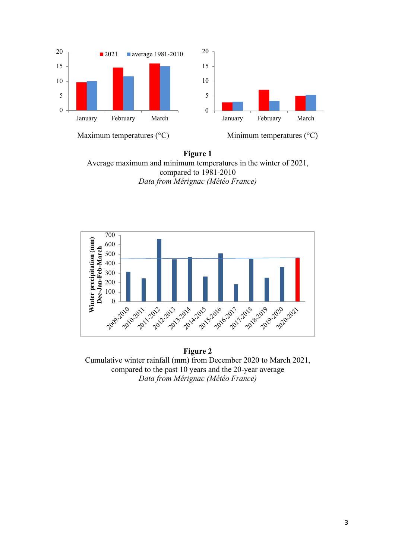

**Figure 1** Average maximum and minimum temperatures in the winter of 2021, compared to 1981-2010 *Data from Mérignac (Météo France)*



**Figure 2** Cumulative winter rainfall (mm) from December 2020 to March 2021, compared to the past 10 years and the 20-year average *Data from Mérignac (Météo France)*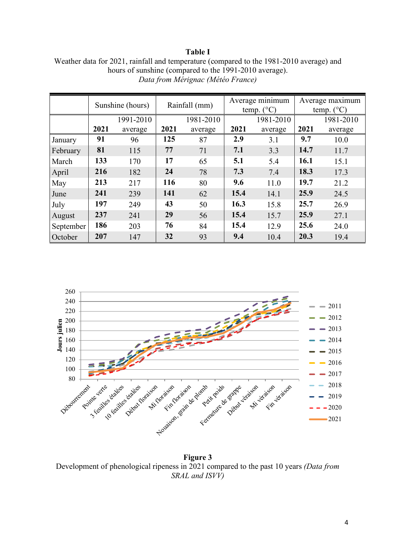## **Table I**

| Weather data for 2021, rainfall and temperature (compared to the 1981-2010 average) and |
|-----------------------------------------------------------------------------------------|
| hours of sunshine (compared to the 1991-2010 average).                                  |
| Data from Mérignac (Météo France)                                                       |

|           | Sunshine (hours) |           | Rainfall (mm) |           | Average minimum<br>$(^{\circ}C)$<br>temp. |           | Average maximum<br>temp. $(^{\circ}C)$ |           |
|-----------|------------------|-----------|---------------|-----------|-------------------------------------------|-----------|----------------------------------------|-----------|
|           |                  | 1991-2010 |               | 1981-2010 |                                           | 1981-2010 |                                        | 1981-2010 |
|           | 2021             | average   | 2021          | average   | 2021                                      | average   | 2021                                   | average   |
| January   | 91               | 96        | 125           | 87        | 2.9                                       | 3.1       | 9.7                                    | 10.0      |
| February  | 81               | 115       | 77            | 71        | 7.1                                       | 3.3       | 14.7                                   | 11.7      |
| March     | 133              | 170       | 17            | 65        | 5.1                                       | 5.4       | 16.1                                   | 15.1      |
| April     | 216              | 182       | 24            | 78        | 7.3                                       | 7.4       | 18.3                                   | 17.3      |
| May       | 213              | 217       | 116           | 80        | 9.6                                       | 11.0      | 19.7                                   | 21.2      |
| June      | 241              | 239       | 141           | 62        | 15.4                                      | 14.1      | 25.9                                   | 24.5      |
| July      | 197              | 249       | 43            | 50        | 16.3                                      | 15.8      | 25.7                                   | 26.9      |
| August    | 237              | 241       | 29            | 56        | 15.4                                      | 15.7      | 25.9                                   | 27.1      |
| September | 186              | 203       | 76            | 84        | 15.4                                      | 12.9      | 25.6                                   | 24.0      |
| October   | 207              | 147       | 32            | 93        | 9.4                                       | 10.4      | 20.3                                   | 19.4      |



**Figure 3** Development of phenological ripeness in 2021 compared to the past 10 years *(Data from SRAL and ISVV)*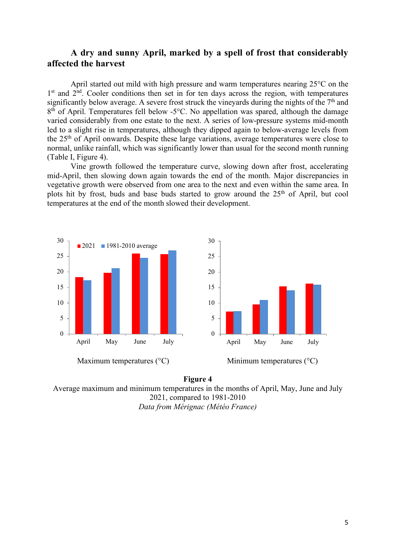## **A dry and sunny April, marked by a spell of frost that considerably affected the harvest**

April started out mild with high pressure and warm temperatures nearing 25°C on the  $1<sup>st</sup>$  and  $2<sup>nd</sup>$ . Cooler conditions then set in for ten days across the region, with temperatures significantly below average. A severe frost struck the vineyards during the nights of the  $7<sup>th</sup>$  and 8<sup>th</sup> of April. Temperatures fell below -5<sup>o</sup>C. No appellation was spared, although the damage varied considerably from one estate to the next. A series of low-pressure systems mid-month led to a slight rise in temperatures, although they dipped again to below-average levels from the 25th of April onwards. Despite these large variations, average temperatures were close to normal, unlike rainfall, which was significantly lower than usual for the second month running (Table I, Figure 4).

Vine growth followed the temperature curve, slowing down after frost, accelerating mid-April, then slowing down again towards the end of the month. Major discrepancies in vegetative growth were observed from one area to the next and even within the same area. In plots hit by frost, buds and base buds started to grow around the  $25<sup>th</sup>$  of April, but cool temperatures at the end of the month slowed their development.





Average maximum and minimum temperatures in the months of April, May, June and July 2021, compared to 1981-2010 *Data from Mérignac (Météo France)*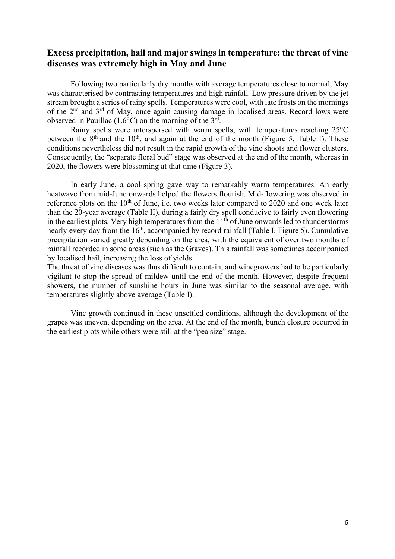## **Excess precipitation, hail and major swings in temperature: the threat of vine diseases was extremely high in May and June**

Following two particularly dry months with average temperatures close to normal, May was characterised by contrasting temperatures and high rainfall. Low pressure driven by the jet stream brought a series of rainy spells. Temperatures were cool, with late frosts on the mornings of the 2nd and 3rd of May, once again causing damage in localised areas. Record lows were observed in Pauillac  $(1.6^{\circ}C)$  on the morning of the 3<sup>rd</sup>.

Rainy spells were interspersed with warm spells, with temperatures reaching 25°C between the  $8<sup>th</sup>$  and the 10<sup>th</sup>, and again at the end of the month (Figure 5, Table I). These conditions nevertheless did not result in the rapid growth of the vine shoots and flower clusters. Consequently, the "separate floral bud" stage was observed at the end of the month, whereas in 2020, the flowers were blossoming at that time (Figure 3).

In early June, a cool spring gave way to remarkably warm temperatures. An early heatwave from mid-June onwards helped the flowers flourish. Mid-flowering was observed in reference plots on the  $10<sup>th</sup>$  of June, i.e. two weeks later compared to 2020 and one week later than the 20-year average (Table II), during a fairly dry spell conducive to fairly even flowering in the earliest plots. Very high temperatures from the  $11<sup>th</sup>$  of June onwards led to thunderstorms nearly every day from the 16<sup>th</sup>, accompanied by record rainfall (Table I, Figure 5). Cumulative precipitation varied greatly depending on the area, with the equivalent of over two months of rainfall recorded in some areas (such as the Graves). This rainfall was sometimes accompanied by localised hail, increasing the loss of yields.

The threat of vine diseases was thus difficult to contain, and winegrowers had to be particularly vigilant to stop the spread of mildew until the end of the month. However, despite frequent showers, the number of sunshine hours in June was similar to the seasonal average, with temperatures slightly above average (Table I).

Vine growth continued in these unsettled conditions, although the development of the grapes was uneven, depending on the area. At the end of the month, bunch closure occurred in the earliest plots while others were still at the "pea size" stage.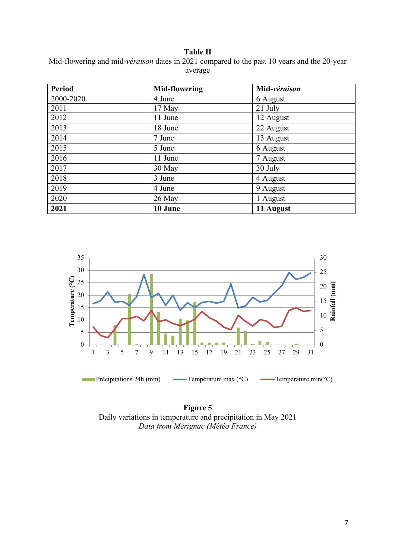**Table II**

Mid-flowering and mid-*véraison* dates in 2021 compared to the past 10 years and the 20-year average

| <b>Period</b> | <b>Mid-flowering</b> | Mid-véraison |
|---------------|----------------------|--------------|
| 2000-2020     | 4 June               | 6 August     |
| 2011          | 17 May               | 21 July      |
| 2012          | 11 June              | 12 August    |
| 2013          | 18 June              | 22 August    |
| 2014          | 7 June               | 13 August    |
| 2015          | 5 June               | 6 August     |
| 2016          | 11 June              | 7 August     |
| 2017          | 30 May               | 30 July      |
| 2018          | 3 June               | 4 August     |
| 2019          | 4 June               | 9 August     |
| 2020          | 26 May               | 1 August     |
| 2021          | 10 June              | 11 August    |



**Figure 5** Daily variations in temperature and precipitation in May 2021 *Data from Mérignac (Météo France)*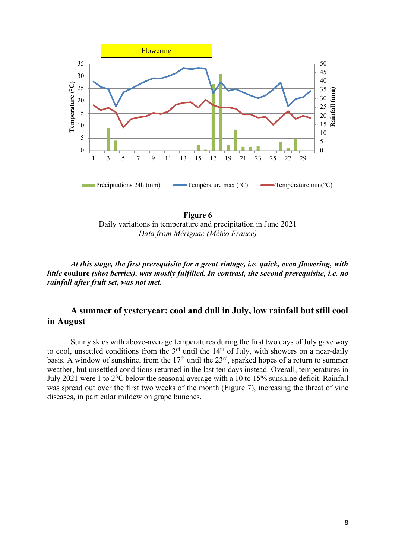



*At this stage, the first prerequisite for a great vintage, i.e. quick, even flowering, with little* **coulure** *(shot berries), was mostly fulfilled. In contrast, the second prerequisite, i.e. no rainfall after fruit set, was not met.*

## **A summer of yesteryear: cool and dull in July, low rainfall but still cool in August**

Sunny skies with above-average temperatures during the first two days of July gave way to cool, unsettled conditions from the  $3<sup>rd</sup>$  until the  $14<sup>th</sup>$  of July, with showers on a near-daily basis. A window of sunshine, from the  $17<sup>th</sup>$  until the  $23<sup>rd</sup>$ , sparked hopes of a return to summer weather, but unsettled conditions returned in the last ten days instead. Overall, temperatures in July 2021 were 1 to 2°C below the seasonal average with a 10 to 15% sunshine deficit. Rainfall was spread out over the first two weeks of the month (Figure 7), increasing the threat of vine diseases, in particular mildew on grape bunches.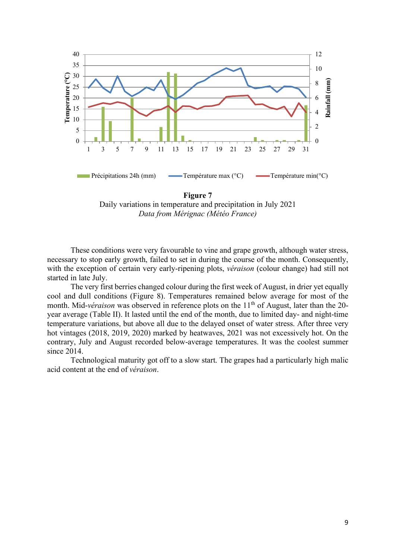

Daily variations in temperature and precipitation in July 2021 *Data from Mérignac (Météo France)*

These conditions were very favourable to vine and grape growth, although water stress, necessary to stop early growth, failed to set in during the course of the month. Consequently, with the exception of certain very early-ripening plots, *véraison* (colour change) had still not started in late July.

The very first berries changed colour during the first week of August, in drier yet equally cool and dull conditions (Figure 8). Temperatures remained below average for most of the month. Mid-*véraison* was observed in reference plots on the 11<sup>th</sup> of August, later than the 20year average (Table II). It lasted until the end of the month, due to limited day- and night-time temperature variations, but above all due to the delayed onset of water stress. After three very hot vintages (2018, 2019, 2020) marked by heatwaves, 2021 was not excessively hot. On the contrary, July and August recorded below-average temperatures. It was the coolest summer since 2014.

Technological maturity got off to a slow start. The grapes had a particularly high malic acid content at the end of *véraison*.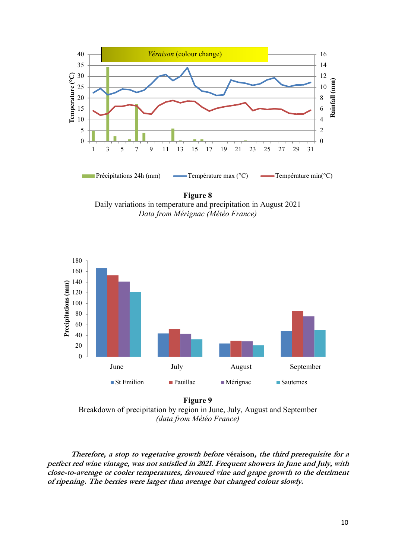

**Figure 8** Daily variations in temperature and precipitation in August 2021 *Data from Mérignac (Météo France)*



**Figure 9** Breakdown of precipitation by region in June, July, August and September *(data from Météo France)*

**Therefore, a stop to vegetative growth before véraison, the third prerequisite for a perfect red wine vintage, was not satisfied in 2021. Frequent showers in June and July, with close-to-average or cooler temperatures, favoured vine and grape growth to the detriment of ripening. The berries were larger than average but changed colour slowly.**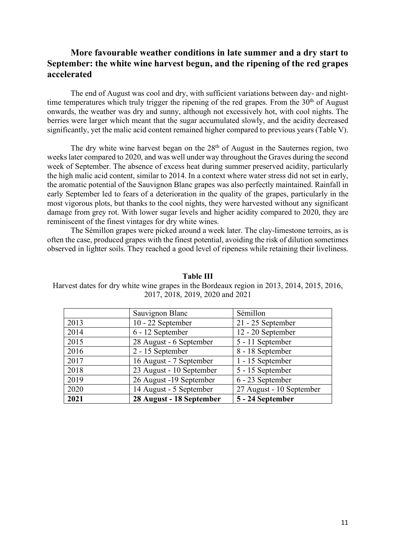## **More favourable weather conditions in late summer and a dry start to September: the white wine harvest begun, and the ripening of the red grapes accelerated**

The end of August was cool and dry, with sufficient variations between day- and nighttime temperatures which truly trigger the ripening of the red grapes. From the  $30<sup>th</sup>$  of August onwards, the weather was dry and sunny, although not excessively hot, with cool nights. The berries were larger which meant that the sugar accumulated slowly, and the acidity decreased significantly, yet the malic acid content remained higher compared to previous years (Table V).

The dry white wine harvest began on the  $28<sup>th</sup>$  of August in the Sauternes region, two weeks later compared to 2020, and was well under way throughout the Graves during the second week of September. The absence of excess heat during summer preserved acidity, particularly the high malic acid content, similar to 2014. In a context where water stress did not set in early, the aromatic potential of the Sauvignon Blanc grapes was also perfectly maintained. Rainfall in early September led to fears of a deterioration in the quality of the grapes, particularly in the most vigorous plots, but thanks to the cool nights, they were harvested without any significant damage from grey rot. With lower sugar levels and higher acidity compared to 2020, they are reminiscent of the finest vintages for dry white wines.

The Sémillon grapes were picked around a week later. The clay-limestone terroirs, as is often the case, produced grapes with the finest potential, avoiding the risk of dilution sometimes observed in lighter soils. They reached a good level of ripeness while retaining their liveliness.

### **Table III**

Harvest dates for dry white wine grapes in the Bordeaux region in 2013, 2014, 2015, 2016, 2017, 2018, 2019, 2020 and 2021

|      | Sauvignon Blanc          | Sémillon                 |
|------|--------------------------|--------------------------|
| 2013 | 10 - 22 September        | 21 - 25 September        |
| 2014 | 6 - 12 September         | 12 - 20 September        |
| 2015 | 28 August - 6 September  | 5 - 11 September         |
| 2016 | 2 - 15 September         | 8 - 18 September         |
| 2017 | 16 August - 7 September  | 1 - 15 September         |
| 2018 | 23 August - 10 September | 5 - 15 September         |
| 2019 | 26 August -19 September  | 6 - 23 September         |
| 2020 | 14 August - 5 September  | 27 August - 10 September |
| 2021 | 28 August - 18 September | 5 - 24 September         |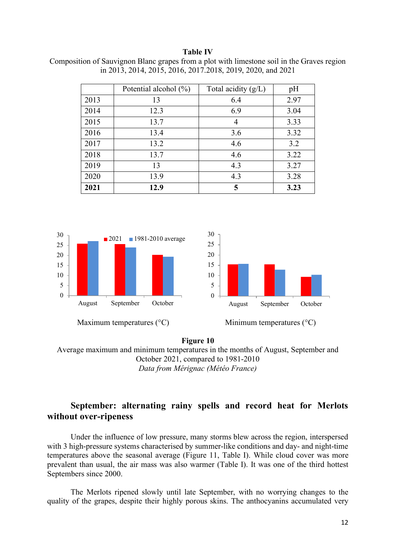#### **Table IV**

| Composition of Sauvignon Blanc grapes from a plot with limestone soil in the Graves region |                                                            |  |  |
|--------------------------------------------------------------------------------------------|------------------------------------------------------------|--|--|
|                                                                                            | in 2013, 2014, 2015, 2016, 2017.2018, 2019, 2020, and 2021 |  |  |

|      | Potential alcohol $(\%)$ | Total acidity (g/L) | pH   |
|------|--------------------------|---------------------|------|
| 2013 | 13                       | 6.4                 | 2.97 |
| 2014 | 12.3                     | 6.9                 | 3.04 |
| 2015 | 13.7                     | 4                   | 3.33 |
| 2016 | 13.4                     | 3.6                 | 3.32 |
| 2017 | 13.2                     | 4.6                 | 3.2  |
| 2018 | 13.7                     | 4.6                 | 3.22 |
| 2019 | 13                       | 4.3                 | 3.27 |
| 2020 | 13.9                     | 4.3                 | 3.28 |
| 2021 | 12.9                     | 5                   | 3.23 |



### **Figure 10** Average maximum and minimum temperatures in the months of August, September and October 2021, compared to 1981-2010 *Data from Mérignac (Météo France)*

# **September: alternating rainy spells and record heat for Merlots without over-ripeness**

Under the influence of low pressure, many storms blew across the region, interspersed with 3 high-pressure systems characterised by summer-like conditions and day- and night-time temperatures above the seasonal average (Figure 11, Table I). While cloud cover was more prevalent than usual, the air mass was also warmer (Table I). It was one of the third hottest Septembers since 2000.

The Merlots ripened slowly until late September, with no worrying changes to the quality of the grapes, despite their highly porous skins. The anthocyanins accumulated very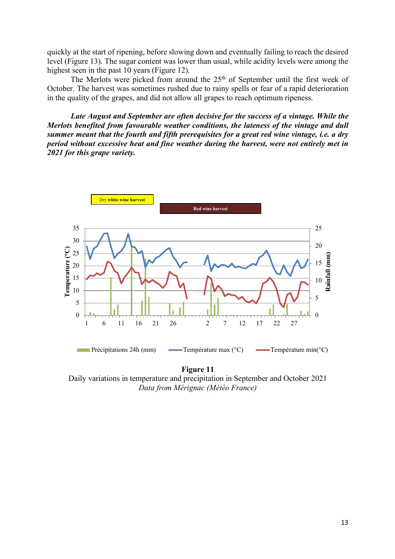quickly at the start of ripening, before slowing down and eventually failing to reach the desired level (Figure 13). The sugar content was lower than usual, while acidity levels were among the highest seen in the past 10 years (Figure 12).

The Merlots were picked from around the 25<sup>th</sup> of September until the first week of October. The harvest was sometimes rushed due to rainy spells or fear of a rapid deterioration in the quality of the grapes, and did not allow all grapes to reach optimum ripeness.

*Late August and September are often decisive for the success of a vintage. While the Merlots benefited from favourable weather conditions, the lateness of the vintage and dull summer meant that the fourth and fifth prerequisites for a great red wine vintage, i.e. a dry period without excessive heat and fine weather during the harvest, were not entirely met in 2021 for this grape variety.*



Daily variations in temperature and precipitation in September and October 2021 *Data from Mérignac (Météo France)*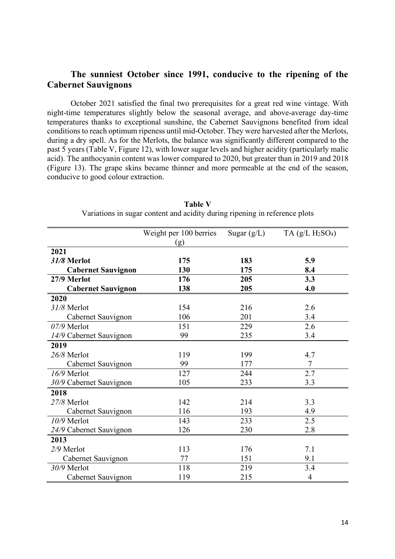## **The sunniest October since 1991, conducive to the ripening of the Cabernet Sauvignons**

October 2021 satisfied the final two prerequisites for a great red wine vintage. With night-time temperatures slightly below the seasonal average, and above-average day-time temperatures thanks to exceptional sunshine, the Cabernet Sauvignons benefited from ideal conditions to reach optimum ripeness until mid-October. They were harvested after the Merlots, during a dry spell. As for the Merlots, the balance was significantly different compared to the past 5 years (Table V, Figure 12), with lower sugar levels and higher acidity (particularly malic acid). The anthocyanin content was lower compared to 2020, but greater than in 2019 and 2018 (Figure 13). The grape skins became thinner and more permeable at the end of the season, conducive to good colour extraction.

|                           | Weight per 100 berries | Sugar $(g/L)$ | TA $(g/L H_2 SO_4)$ |
|---------------------------|------------------------|---------------|---------------------|
|                           | (g)                    |               |                     |
| 2021                      |                        |               |                     |
| 31/8 Merlot               | 175                    | 183           | 5.9                 |
| <b>Cabernet Sauvignon</b> | 130                    | 175           | 8.4                 |
| 27/9 Merlot               | 176                    | 205           | 3.3                 |
| <b>Cabernet Sauvignon</b> | 138                    | 205           | 4.0                 |
| 2020                      |                        |               |                     |
| 31/8 Merlot               | 154                    | 216           | 2.6                 |
| Cabernet Sauvignon        | 106                    | 201           | 3.4                 |
| $07/9$ Merlot             | 151                    | 229           | 2.6                 |
| 14/9 Cabernet Sauvignon   | 99                     | 235           | 3.4                 |
| 2019                      |                        |               |                     |
| 26/8 Merlot               | 119                    | 199           | 4.7                 |
| Cabernet Sauvignon        | 99                     | 177           | 7                   |
| 16/9 Merlot               | 127                    | 244           | 2.7                 |
| 30/9 Cabernet Sauvignon   | 105                    | 233           | 3.3                 |
| 2018                      |                        |               |                     |
| 27/8 Merlot               | 142                    | 214           | 3.3                 |
| Cabernet Sauvignon        | 116                    | 193           | 4.9                 |
| 10/9 Merlot               | 143                    | 233           | 2.5                 |
| 24/9 Cabernet Sauvignon   | 126                    | 230           | 2.8                 |
| 2013                      |                        |               |                     |
| 2/9 Merlot                | 113                    | 176           | 7.1                 |
| Cabernet Sauvignon        | 77                     | 151           | 9.1                 |
| 30/9 Merlot               | 118                    | 219           | 3.4                 |
| Cabernet Sauvignon        | 119                    | 215           | $\overline{4}$      |

**Table V** Variations in sugar content and acidity during ripening in reference plots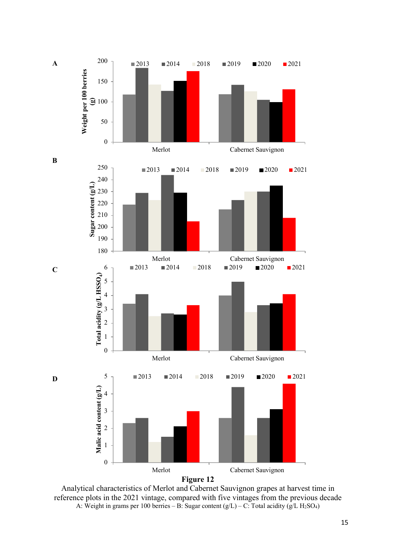

Analytical characteristics of Merlot and Cabernet Sauvignon grapes at harvest time in reference plots in the 2021 vintage, compared with five vintages from the previous decade A: Weight in grams per 100 berries – B: Sugar content  $(g/L)$  – C: Total acidity  $(g/L)$  H<sub>2</sub>SO<sub>4</sub>)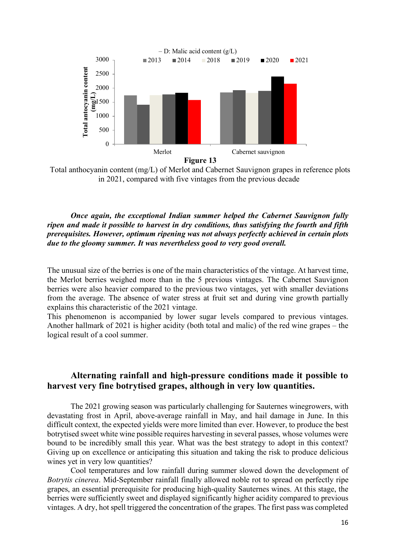

Total anthocyanin content (mg/L) of Merlot and Cabernet Sauvignon grapes in reference plots in 2021, compared with five vintages from the previous decade

## *Once again, the exceptional Indian summer helped the Cabernet Sauvignon fully ripen and made it possible to harvest in dry conditions, thus satisfying the fourth and fifth prerequisites. However, optimum ripening was not always perfectly achieved in certain plots due to the gloomy summer. It was nevertheless good to very good overall.*

The unusual size of the berries is one of the main characteristics of the vintage. At harvest time, the Merlot berries weighed more than in the 5 previous vintages. The Cabernet Sauvignon berries were also heavier compared to the previous two vintages, yet with smaller deviations from the average. The absence of water stress at fruit set and during vine growth partially explains this characteristic of the 2021 vintage.

This phenomenon is accompanied by lower sugar levels compared to previous vintages. Another hallmark of 2021 is higher acidity (both total and malic) of the red wine grapes – the logical result of a cool summer.

## **Alternating rainfall and high-pressure conditions made it possible to harvest very fine botrytised grapes, although in very low quantities.**

The 2021 growing season was particularly challenging for Sauternes winegrowers, with devastating frost in April, above-average rainfall in May, and hail damage in June. In this difficult context, the expected yields were more limited than ever. However, to produce the best botrytised sweet white wine possible requires harvesting in several passes, whose volumes were bound to be incredibly small this year. What was the best strategy to adopt in this context? Giving up on excellence or anticipating this situation and taking the risk to produce delicious wines yet in very low quantities?

Cool temperatures and low rainfall during summer slowed down the development of *Botrytis cinerea*. Mid-September rainfall finally allowed noble rot to spread on perfectly ripe grapes, an essential prerequisite for producing high-quality Sauternes wines. At this stage, the berries were sufficiently sweet and displayed significantly higher acidity compared to previous vintages. A dry, hot spell triggered the concentration of the grapes. The first pass was completed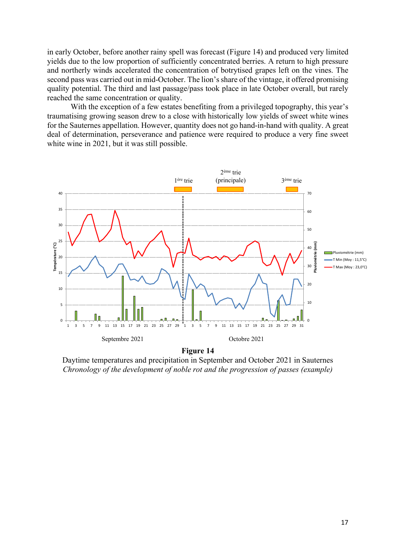in early October, before another rainy spell was forecast (Figure 14) and produced very limited yields due to the low proportion of sufficiently concentrated berries. A return to high pressure and northerly winds accelerated the concentration of botrytised grapes left on the vines. The second pass was carried out in mid-October. The lion's share of the vintage, it offered promising quality potential. The third and last passage/pass took place in late October overall, but rarely reached the same concentration or quality.

With the exception of a few estates benefiting from a privileged topography, this year's traumatising growing season drew to a close with historically low yields of sweet white wines for the Sauternes appellation. However, quantity does not go hand-in-hand with quality. A great deal of determination, perseverance and patience were required to produce a very fine sweet white wine in 2021, but it was still possible.



Daytime temperatures and precipitation in September and October 2021 in Sauternes *Chronology of the development of noble rot and the progression of passes (example)*